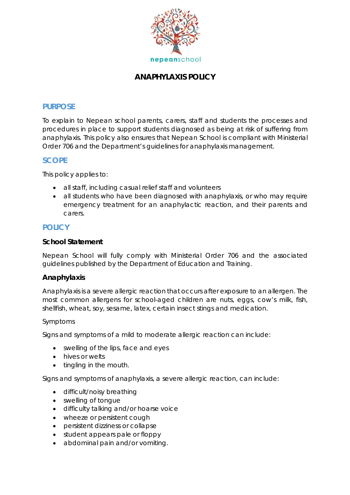

# **ANAPHYLAXIS POLICY**

### **PURPOSE**

To explain to Nepean school parents, carers, staff and students the processes and procedures in place to support students diagnosed as being at risk of suffering from anaphylaxis. This policy also ensures that Nepean School is compliant with Ministerial Order 706 and the Department's guidelines for anaphylaxis management.

### **SCOPE**

This policy applies to:

- all staff, including casual relief staff and volunteers
- all students who have been diagnosed with anaphylaxis, or who may require emergency treatment for an anaphylactic reaction, and their parents and carers.

### **POLICY**

#### **School Statement**

Nepean School will fully comply with Ministerial Order 706 and the associated guidelines published by the Department of Education and Training.

### **Anaphylaxis**

Anaphylaxis is a severe allergic reaction that occurs after exposure to an allergen. The most common allergens for school-aged children are nuts, eggs, cow's milk, fish, shellfish, wheat, soy, sesame, latex, certain insect stings and medication.

#### *Symptoms*

Signs and symptoms of a mild to moderate allergic reaction can include:

- swelling of the lips, face and eyes
- hives or welts
- tingling in the mouth.

Signs and symptoms of anaphylaxis, a severe allergic reaction, can include:

- difficult/noisy breathing
- swelling of tongue
- difficulty talking and/or hoarse voice
- wheeze or persistent cough
- persistent dizziness or collapse
- student appears pale or floppy
- abdominal pain and/or vomiting.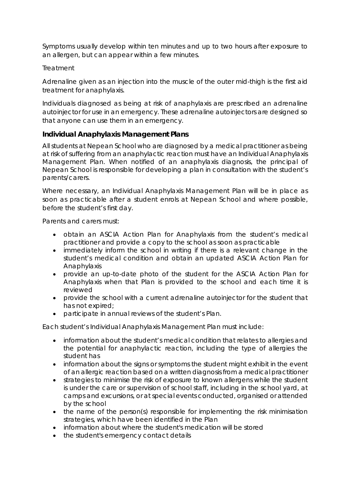Symptoms usually develop within ten minutes and up to two hours after exposure to an allergen, but can appear within a few minutes.

#### *Treatment*

Adrenaline given as an injection into the muscle of the outer mid-thigh is the first aid treatment for anaphylaxis.

Individuals diagnosed as being at risk of anaphylaxis are prescribed an adrenaline autoinjector for use in an emergency. These adrenaline autoinjectors are designed so that anyone can use them in an emergency.

#### **Individual Anaphylaxis Management Plans**

All students at Nepean School who are diagnosed by a medical practitioner as being at risk of suffering from an anaphylactic reaction must have an Individual Anaphylaxis Management Plan. When notified of an anaphylaxis diagnosis, the principal of Nepean School is responsible for developing a plan in consultation with the student's parents/carers.

Where necessary, an Individual Anaphylaxis Management Plan will be in place as soon as practicable after a student enrols at Nepean School and where possible, before the student's first day.

Parents and carers must:

- obtain an ASCIA Action Plan for Anaphylaxis from the student's medical practitioner and provide a copy to the school as soon as practicable
- immediately inform the school in writing if there is a relevant change in the student's medical condition and obtain an updated ASCIA Action Plan for Anaphylaxis
- provide an up-to-date photo of the student for the ASCIA Action Plan for Anaphylaxis when that Plan is provided to the school and each time it is reviewed
- provide the school with a current adrenaline autoinjector for the student that has not expired;
- participate in annual reviews of the student's Plan.

Each student's Individual Anaphylaxis Management Plan must include:

- information about the student's medical condition that relates to allergies and the potential for anaphylactic reaction, including the type of allergies the student has
- information about the signs or symptoms the student might exhibit in the event of an allergic reaction based on a written diagnosis from a medical practitioner
- strategies to minimise the risk of exposure to known allergens while the student is under the care or supervision of school staff, including in the school yard, at camps and excursions, or at special events conducted, organised or attended by the school
- the name of the person(s) responsible for implementing the risk minimisation strategies, which have been identified in the Plan
- information about where the student's medication will be stored
- the student's emergency contact details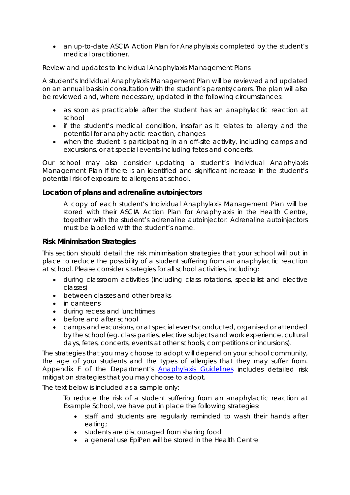• an up-to-date ASCIA Action Plan for Anaphylaxis completed by the student's medical practitioner.

#### *Review and updates to Individual Anaphylaxis Management Plans*

A student's Individual Anaphylaxis Management Plan will be reviewed and updated on an annual basis in consultation with the student's parents/carers. The plan will also be reviewed and, where necessary, updated in the following circumstances:

- as soon as practicable after the student has an anaphylactic reaction at school
- if the student's medical condition, insofar as it relates to allergy and the potential for anaphylactic reaction, changes
- when the student is participating in an off-site activity, including camps and excursions, or at special events including fetes and concerts.

Our school may also consider updating a student's Individual Anaphylaxis Management Plan if there is an identified and significant increase in the student's potential risk of exposure to allergens at school.

#### **Location of plans and adrenaline autoinjectors**

*A copy of each student's Individual Anaphylaxis Management Plan will be stored with their ASCIA Action Plan for Anaphylaxis in the Health Centre, together with the student's adrenaline autoinjector. Adrenaline autoinjectors must be labelled with the student's name.*

#### **Risk Minimisation Strategies**

This section should detail the risk minimisation strategies that your school will put in place to reduce the possibility of a student suffering from an anaphylactic reaction at school. Please consider strategies for all school activities, including:

- during classroom activities (including class rotations, specialist and elective classes)
- between classes and other breaks
- in canteens
- during recess and lunchtimes
- before and after school
- camps and excursions, or at special events conducted, organised or attended by the school (eg. class parties, elective subjects and work experience, cultural days, fetes, concerts, events at other schools, competitions or incursions).

The strategies that you may choose to adopt will depend on your school community, the age of your students and the types of allergies that they may suffer from. Appendix F of the Department's *[Anaphylaxis Guidelines](http://www.education.vic.gov.au/Documents/school/principals/health/Anaphylaxis_Guidelines_FINAL.pdf)* includes detailed risk mitigation strategies that you may choose to adopt.

The text below is included as a sample only:

*To reduce the risk of a student suffering from an anaphylactic reaction at Example School, we have put in place the following strategies:*

- *staff and students are regularly reminded to wash their hands after eating;*
- *students are discouraged from sharing food*
- *a general use EpiPen will be stored in the Health Centre*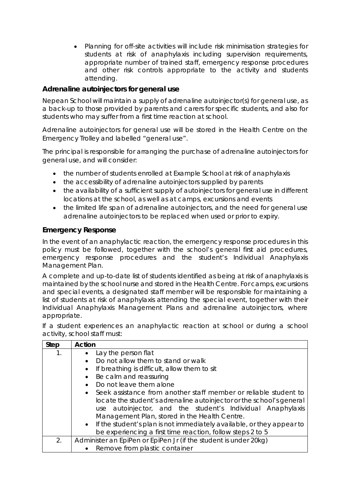• *Planning for off-site activities will include risk minimisation strategies for students at risk of anaphylaxis including supervision requirements, appropriate number of trained staff, emergency response procedures and other risk controls appropriate to the activity and students attending.* 

### **Adrenaline autoinjectors for general use**

Nepean School will maintain a supply of adrenaline autoinjector(s) for general use, as a back-up to those provided by parents and carers for specific students, and also for students who may suffer from a first time reaction at school.

Adrenaline autoinjectors for general use will be stored in the Health Centre on the Emergency Trolley and labelled "general use".

The principal is responsible for arranging the purchase of adrenaline autoinjectors for general use, and will consider:

- the number of students enrolled at Example School at risk of anaphylaxis
- the accessibility of adrenaline autoinjectors supplied by parents
- the availability of a sufficient supply of autoinjectors for general use in different locations at the school, as well as at camps, excursions and events
- the limited life span of adrenaline autoinjectors, and the need for general use adrenaline autoinjectors to be replaced when used or prior to expiry.

### **Emergency Response**

In the event of an anaphylactic reaction, the emergency response procedures in this policy must be followed, together with the school's general first aid procedures, emergency response procedures and the student's Individual Anaphylaxis Management Plan.

A complete and up-to-date list of students identified as being at risk of anaphylaxis is maintained by the school nurse and stored in the Health Centre. For camps, excursions and special events, a designated staff member will be responsible for maintaining a list of students at risk of anaphylaxis attending the special event, together with their Individual Anaphylaxis Management Plans and adrenaline autoinjectors, where appropriate.

If a student experiences an anaphylactic reaction at school or during a school activity, school staff must:

| <b>Step</b> | <b>Action</b>                                                                      |
|-------------|------------------------------------------------------------------------------------|
| 1.          | Lay the person flat<br>$\bullet$                                                   |
|             | Do not allow them to stand or walk<br>$\bullet$                                    |
|             | If breathing is difficult, allow them to sit<br>$\bullet$                          |
|             | Be calm and reassuring<br>$\bullet$                                                |
|             | Do not leave them alone<br>$\bullet$                                               |
|             | Seek assistance from another staff member or reliable student to<br>$\bullet$      |
|             | locate the student's adrenaline autoinjector or the school's general               |
|             | use autoinjector, and the student's Individual Anaphylaxis                         |
|             | Management Plan, stored in the Health Centre.                                      |
|             | If the student's plan is not immediately available, or they appear to<br>$\bullet$ |
|             | be experiencing a first time reaction, follow steps 2 to 5                         |
| 2.          | Administer an EpiPen or EpiPen Jr (if the student is under 20kg)                   |
|             | Remove from plastic container<br>$\bullet$                                         |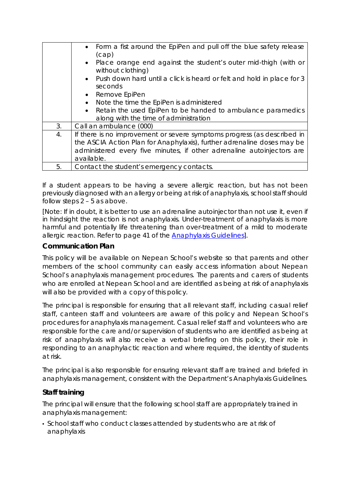|    | • Form a fist around the EpiPen and pull off the blue safety release<br>(cap)<br>Place orange end against the student's outer mid-thigh (with or<br>$\bullet$<br>without clothing)<br>• Push down hard until a click is heard or felt and hold in place for 3<br>seconds<br>• Remove EpiPen<br>Note the time the EpiPen is administered<br>$\bullet$<br>Retain the used EpiPen to be handed to ambulance paramedics<br>$\bullet$<br>along with the time of administration |
|----|---------------------------------------------------------------------------------------------------------------------------------------------------------------------------------------------------------------------------------------------------------------------------------------------------------------------------------------------------------------------------------------------------------------------------------------------------------------------------|
| 3. | Call an ambulance (000)                                                                                                                                                                                                                                                                                                                                                                                                                                                   |
| 4. | If there is no improvement or severe symptoms progress (as described in<br>the ASCIA Action Plan for Anaphylaxis), further adrenaline doses may be<br>administered every five minutes, if other adrenaline autoinjectors are<br>available.                                                                                                                                                                                                                                |
| 5. | Contact the student's emergency contacts.                                                                                                                                                                                                                                                                                                                                                                                                                                 |

If a student appears to be having a severe allergic reaction, but has not been previously diagnosed with an allergy or being at risk of anaphylaxis, school staff should follow steps 2 – 5 as above.

[Note: If in doubt, it is better to use an adrenaline autoinjector than not use it, even if in hindsight the reaction is not anaphylaxis. Under-treatment of anaphylaxis is more harmful and potentially life threatening than over-treatment of a mild to moderate allergic reaction. Refer to page 41 of the [Anaphylaxis](http://www.education.vic.gov.au/school/teachers/health/pages/anaphylaxisschl.aspx) Guidelines].

#### **Communication Plan**

This policy will be available on Nepean School's website so that parents and other members of the school community can easily access information about Nepean School's anaphylaxis management procedures. The parents and carers of students who are enrolled at Nepean School and are identified as being at risk of anaphylaxis will also be provided with a copy of this policy.

The principal is responsible for ensuring that all relevant staff, including casual relief staff, canteen staff and volunteers are aware of this policy and Nepean School's procedures for anaphylaxis management. Casual relief staff and volunteers who are responsible for the care and/or supervision of students who are identified as being at risk of anaphylaxis will also receive a verbal briefing on this policy, their role in responding to an anaphylactic reaction and where required, the identity of students at risk.

The principal is also responsible for ensuring relevant staff are trained and briefed in anaphylaxis management, consistent with the Department's *Anaphylaxis Guidelines.*

### **Staff training**

The principal will ensure that the following school staff are appropriately trained in anaphylaxis management:

• School staff who conduct classes attended by students who are at risk of anaphylaxis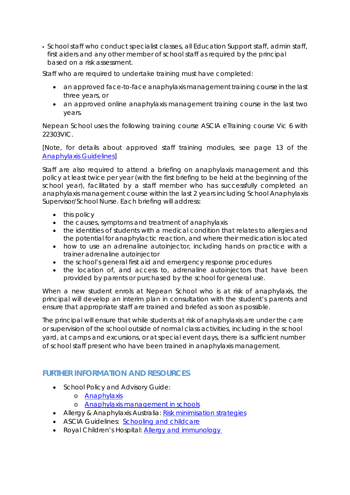• School staff who conduct specialist classes, all Education Support staff, admin staff, first aiders and any other member of school staff as required by the principal based on a risk assessment.

Staff who are required to undertake training must have completed:

- an approved face-to-face anaphylaxis management training course in the last three years, or
- an approved online anaphylaxis management training course in the last two years.

Nepean School uses the following training course ASCIA eTraining course Vic 6 with 22303VIC.

[Note, for details about approved staff training modules, see page 13 of the [Anaphylaxis Guidelines\]](http://www.education.vic.gov.au/school/teachers/health/Pages/anaphylaxisschl.aspx)

Staff are also required to attend a briefing on anaphylaxis management and this policy at least twice per year (with the first briefing to be held at the beginning of the school year), facilitated by a staff member who has successfully completed an anaphylaxis management course within the last 2 years including School Anaphylaxis Supervisor/School Nurse. Each briefing will address:

- this policy
- the causes, symptoms and treatment of anaphylaxis
- the identities of students with a medical condition that relates to allergies and the potential for anaphylactic reaction, and where their medication is located
- how to use an adrenaline autoinjector, including hands on practice with a trainer adrenaline autoinjector
- the school's general first aid and emergency response procedures
- the location of, and access to, adrenaline autoinjectors that have been provided by parents or purchased by the school for general use.

When a new student enrols at Nepean School who is at risk of anaphylaxis, the principal will develop an interim plan in consultation with the student's parents and ensure that appropriate staff are trained and briefed as soon as possible.

The principal will ensure that while students at risk of anaphylaxis are under the care or supervision of the school outside of normal class activities, including in the school yard, at camps and excursions, or at special event days, there is a sufficient number of school staff present who have been trained in anaphylaxis management.

# **FURTHER INFORMATION AND RESOURCES**

- School Policy and Advisory Guide:
	- o [Anaphylaxis](http://www.education.vic.gov.au/school/principals/spag/health/Pages/anaphylaxis.aspx)
	- o [Anaphylaxis management in schools](http://www.education.vic.gov.au/school/teachers/health/pages/anaphylaxisschl.aspx)
- Allergy & Anaphylaxis Australia: [Risk minimisation strategies](https://edugate.eduweb.vic.gov.au/edulibrary/Schools/teachers/health/riskminimisation.pdf)
- ASCIA Guidelines: [Schooling and childcare](https://allergyfacts.org.au/allergy-management/schooling-childcare)
- Royal Children's Hospital: [Allergy and immunology](https://www.rch.org.au/allergy/about_us/Allergy_and_Immunology/)